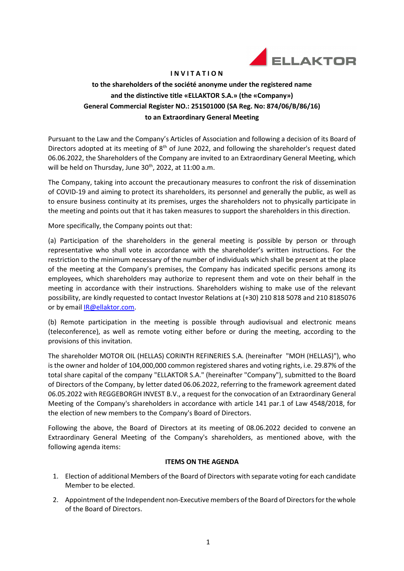

#### I N V I T A T I O N

# to the shareholders of the société anonyme under the registered name and the distinctive title «ELLAKTOR S.A.» (the «Company») General Commercial Register NO.: 251501000 (SA Reg. No: 874/06/Β/86/16) to an Extraordinary General Meeting

Pursuant to the Law and the Company's Articles of Association and following a decision of its Board of Directors adopted at its meeting of  $8<sup>th</sup>$  of June 2022, and following the shareholder's request dated 06.06.2022, the Shareholders of the Company are invited to an Extraordinary General Meeting, which will be held on Thursday, June 30<sup>th</sup>, 2022, at 11:00 a.m.

The Company, taking into account the precautionary measures to confront the risk of dissemination of COVID-19 and aiming to protect its shareholders, its personnel and generally the public, as well as to ensure business continuity at its premises, urges the shareholders not to physically participate in the meeting and points out that it has taken measures to support the shareholders in this direction.

More specifically, the Company points out that:

(a) Participation of the shareholders in the general meeting is possible by person or through representative who shall vote in accordance with the shareholder's written instructions. For the restriction to the minimum necessary of the number of individuals which shall be present at the place of the meeting at the Company's premises, the Company has indicated specific persons among its employees, which shareholders may authorize to represent them and vote on their behalf in the meeting in accordance with their instructions. Shareholders wishing to make use οf the relevant possibility, are kindly requested to contact Investor Relations at (+30) 210 818 5078 and 210 8185076 or by email IR@ellaktor.com.

(b) Remote participation in the meeting is possible through audiovisual and electronic means (teleconference), as well as remote voting either before or during the meeting, according to the provisions of this invitation.

The shareholder MOTOR OIL (HELLAS) CORINTH REFINERIES S.A. (hereinafter "MOH (HELLAS)"), who is the owner and holder of 104,000,000 common registered shares and voting rights, i.e. 29.87% of the total share capital of the company "ELLAKTOR S.A." (hereinafter "Company"), submitted to the Board of Directors of the Company, by letter dated 06.06.2022, referring to the framework agreement dated 06.05.2022 with REGGEBORGH INVEST B.V., a request for the convocation of an Extraordinary General Meeting of the Company's shareholders in accordance with article 141 par.1 of Law 4548/2018, for the election of new members to the Company's Board of Directors.

Following the above, the Board of Directors at its meeting of 08.06.2022 decided to convene an Extraordinary General Meeting of the Company's shareholders, as mentioned above, with the following agenda items:

# ITEMS ON THE AGENDA

- 1. Election of additional Members of the Board of Directors with separate voting for each candidate Member to be elected.
- 2. Appointment of the Independent non-Executive members of the Board of Directors for the whole of the Board of Directors.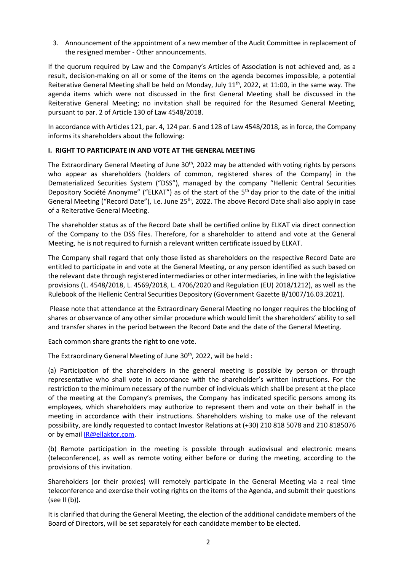3. Announcement of the appointment of a new member of the Audit Committee in replacement of the resigned member - Other announcements.

If the quorum required by Law and the Company's Articles of Association is not achieved and, as a result, decision-making on all or some of the items on the agenda becomes impossible, a potential Reiterative General Meeting shall be held on Monday, July 11<sup>th</sup>, 2022, at 11:00, in the same way. The agenda items which were not discussed in the first General Meeting shall be discussed in the Reiterative General Meeting; no invitation shall be required for the Resumed General Meeting, pursuant to par. 2 of Article 130 of Law 4548/2018.

In accordance with Articles 121, par. 4, 124 par. 6 and 128 of Law 4548/2018, as in force, the Company informs its shareholders about the following:

# Ι. RIGHT TO PARTICIPATE IN AND VOTE AT THE GENERAL MEETING

The Extraordinary General Meeting of June 30<sup>th</sup>, 2022 may be attended with voting rights by persons who appear as shareholders (holders of common, registered shares of the Company) in the Dematerialized Securities System ("DSS"), managed by the company "Hellenic Central Securities Depository Société Anonyme" ("ELKAT") as of the start of the 5th day prior to the date of the initial General Meeting ("Record Date"), i.e. June 25<sup>th</sup>, 2022. The above Record Date shall also apply in case of a Reiterative General Meeting.

The shareholder status as of the Record Date shall be certified online by ELKAT via direct connection of the Company to the DSS files. Therefore, for a shareholder to attend and vote at the General Meeting, he is not required to furnish a relevant written certificate issued by ELKAT.

The Company shall regard that only those listed as shareholders on the respective Record Date are entitled to participate in and vote at the General Meeting, or any person identified as such based on the relevant date through registered intermediaries or other intermediaries, in line with the legislative provisions (L. 4548/2018, L. 4569/2018, L. 4706/2020 and Regulation (ΕU) 2018/1212), as well as the Rulebook of the Hellenic Central Securities Depository (Government Gazette Β/1007/16.03.2021).

 Please note that attendance at the Extraordinary General Meeting no longer requires the blocking of shares or observance of any other similar procedure which would limit the shareholders' ability to sell and transfer shares in the period between the Record Date and the date of the General Meeting.

Each common share grants the right to one vote.

The Extraordinary General Meeting of June 30<sup>th</sup>, 2022, will be held :

(a) Participation of the shareholders in the general meeting is possible by person or through representative who shall vote in accordance with the shareholder's written instructions. For the restriction to the minimum necessary of the number of individuals which shall be present at the place of the meeting at the Company's premises, the Company has indicated specific persons among its employees, which shareholders may authorize to represent them and vote on their behalf in the meeting in accordance with their instructions. Shareholders wishing to make use οf the relevant possibility, are kindly requested to contact Investor Relations at (+30) 210 818 5078 and 210 8185076 or by email IR@ellaktor.com.

(b) Remote participation in the meeting is possible through audiovisual and electronic means (teleconference), as well as remote voting either before or during the meeting, according to the provisions of this invitation.

Shareholders (or their proxies) will remotely participate in the General Meeting via a real time teleconference and exercise their voting rights on the items of the Agenda, and submit their questions (see II (b)).

It is clarified that during the General Meeting, the election of the additional candidate members of the Board of Directors, will be set separately for each candidate member to be elected.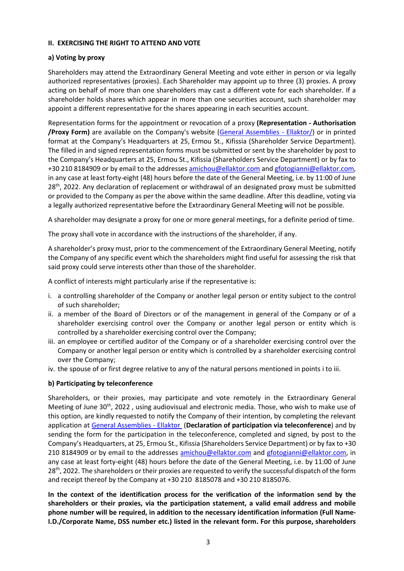#### ΙΙ. EXERCISING THE RIGHT TO ATTEND AND VOTE

# a) Voting by proxy

Shareholders may attend the Extraordinary General Meeting and vote either in person or via legally authorized representatives (proxies). Each Shareholder may appoint up to three (3) proxies. A proxy acting on behalf of more than one shareholders may cast a different vote for each shareholder. If a shareholder holds shares which appear in more than one securities account, such shareholder may appoint a different representative for the shares appearing in each securities account.

Representation forms for the appointment or revocation of a proxy (Representation - Authorisation /Proxy Form) are available on the Company's website (General Assemblies - Ellaktor/) or in printed format at the Company's Headquarters at 25, Ermou St., Kifissia (Shareholder Service Department). The filled in and signed representation forms must be submitted or sent by the shareholder by post to the Company's Headquarters at 25, Ermou St., Kifissia (Shareholders Service Department) or by fax to +30 210 8184909 or by email to the addresses amichou@ellaktor.com and gfotogianni@ellaktor.com, in any case at least forty-eight (48) hours before the date of the General Meeting, i.e. by 11:00 of June 28<sup>th</sup>, 2022. Any declaration of replacement or withdrawal of an designated proxy must be submitted or provided to the Company as per the above within the same deadline. After this deadline, voting via a legally authorized representative before the Extraordinary General Meeting will not be possible.

A shareholder may designate a proxy for one or more general meetings, for a definite period of time.

The proxy shall vote in accordance with the instructions of the shareholder, if any.

A shareholder's proxy must, prior to the commencement of the Extraordinary General Meeting, notify the Company of any specific event which the shareholders might find useful for assessing the risk that said proxy could serve interests other than those of the shareholder.

A conflict of interests might particularly arise if the representative is:

- i. a controlling shareholder of the Company or another legal person or entity subject to the control of such shareholder;
- ii. a member of the Board of Directors or of the management in general of the Company or of a shareholder exercising control over the Company or another legal person or entity which is controlled by a shareholder exercising control over the Company;
- iii. an employee or certified auditor of the Company or of a shareholder exercising control over the Company or another legal person or entity which is controlled by a shareholder exercising control over the Company;
- iv. the spouse of or first degree relative to any of the natural persons mentioned in points i to iii.

# b) Participating by teleconference

Shareholders, or their proxies, may participate and vote remotely in the Extraordinary General Meeting of June 30<sup>th</sup>, 2022, using audiovisual and electronic media. Those, who wish to make use of this option, are kindly requested to notify the Company of their intention, by completing the relevant application at General Assemblies - Ellaktor (Declaration of participation via teleconference) and by sending the form for the participation in the teleconference, completed and signed, by post to the Company's Headquarters, at 25, Ermou St., Kifissia (Shareholders Service Department) or by fax to +30 210 8184909 or by email to the addresses amichou@ellaktor.com and gfotogianni@ellaktor.com, in any case at least forty-eight (48) hours before the date of the General Meeting, i.e. by 11:00 of June 28<sup>th</sup>, 2022. The shareholders or their proxies are requested to verify the successful dispatch of the form and receipt thereof by the Company at +30 210 8185078 and +30 210 8185076.

In the context of the identification process for the verification of the information send by the shareholders or their proxies, via the participation statement, a valid email address and mobile phone number will be required, in addition to the necessary identification information (Full Name-I.D./Corporate Name, DSS number etc.) listed in the relevant form. For this purpose, shareholders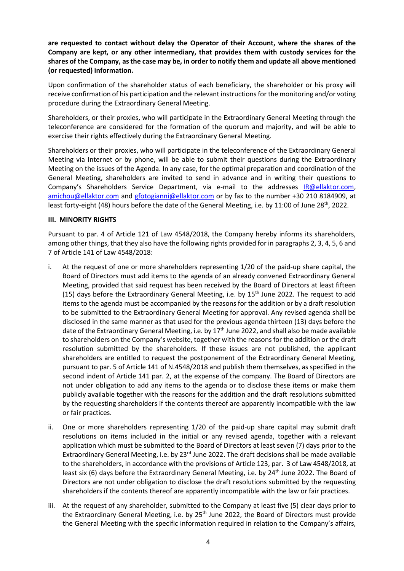are requested to contact without delay the Operator of their Account, where the shares of the Company are kept, or any other intermediary, that provides them with custody services for the shares of the Company, as the case may be, in order to notify them and update all above mentioned (or requested) information.

Upon confirmation of the shareholder status of each beneficiary, the shareholder or his proxy will receive confirmation of his participation and the relevant instructions for the monitoring and/or voting procedure during the Extraordinary General Meeting.

Shareholders, or their proxies, who will participate in the Extraordinary General Meeting through the teleconference are considered for the formation of the quorum and majority, and will be able to exercise their rights effectively during the Extraordinary General Meeting.

Shareholders or their proxies, who will participate in the teleconference of the Extraordinary General Meeting via Internet or by phone, will be able to submit their questions during the Extraordinary Meeting on the issues of the Agenda. In any case, for the optimal preparation and coordination of the General Meeting, shareholders are invited to send in advance and in writing their questions to Company's Shareholders Service Department, via e-mail to the addresses IR@ellaktor.com, amichou@ellaktor.com and gfotogianni@ellaktor.com or by fax to the number +30 210 8184909, at least forty-eight (48) hours before the date of the General Meeting, i.e. by 11:00 of June 28<sup>th</sup>, 2022.

#### ΙΙΙ. MINORITY RIGHTS

Pursuant to par. 4 of Article 121 of Law 4548/2018, the Company hereby informs its shareholders, among other things, that they also have the following rights provided for in paragraphs 2, 3, 4, 5, 6 and 7 of Article 141 of Law 4548/2018:

- i. At the request of one or more shareholders representing 1/20 of the paid-up share capital, the Board of Directors must add items to the agenda of an already convened Extraordinary General Meeting, provided that said request has been received by the Board of Directors at least fifteen (15) days before the Extraordinary General Meeting, i.e. by  $15<sup>th</sup>$  June 2022. The request to add items to the agenda must be accompanied by the reasons for the addition or by a draft resolution to be submitted to the Extraordinary General Meeting for approval. Any revised agenda shall be disclosed in the same manner as that used for the previous agenda thirteen (13) days before the date of the Extraordinary General Meeting, i.e. by 17<sup>th</sup> June 2022, and shall also be made available to shareholders on the Company's website, together with the reasons for the addition or the draft resolution submitted by the shareholders. If these issues are not published, the applicant shareholders are entitled to request the postponement of the Extraordinary General Meeting, pursuant to par. 5 of Article 141 of N.4548/2018 and publish them themselves, as specified in the second indent of Article 141 par. 2, at the expense of the company. The Board of Directors are not under obligation to add any items to the agenda or to disclose these items or make them publicly available together with the reasons for the addition and the draft resolutions submitted by the requesting shareholders if the contents thereof are apparently incompatible with the law or fair practices.
- ii. One or more shareholders representing 1/20 of the paid-up share capital may submit draft resolutions on items included in the initial or any revised agenda, together with a relevant application which must be submitted to the Board of Directors at least seven (7) days prior to the Extraordinary General Meeting, i.e. by 23<sup>rd</sup> June 2022. The draft decisions shall be made available to the shareholders, in accordance with the provisions of Article 123, par. 3 of Law 4548/2018, at least six (6) days before the Extraordinary General Meeting, i.e. by  $24<sup>th</sup>$  June 2022. The Board of Directors are not under obligation to disclose the draft resolutions submitted by the requesting shareholders if the contents thereof are apparently incompatible with the law or fair practices.
- iii. At the request of any shareholder, submitted to the Company at least five (5) clear days prior to the Extraordinary General Meeting, i.e. by 25<sup>th</sup> June 2022, the Board of Directors must provide the General Meeting with the specific information required in relation to the Company's affairs,